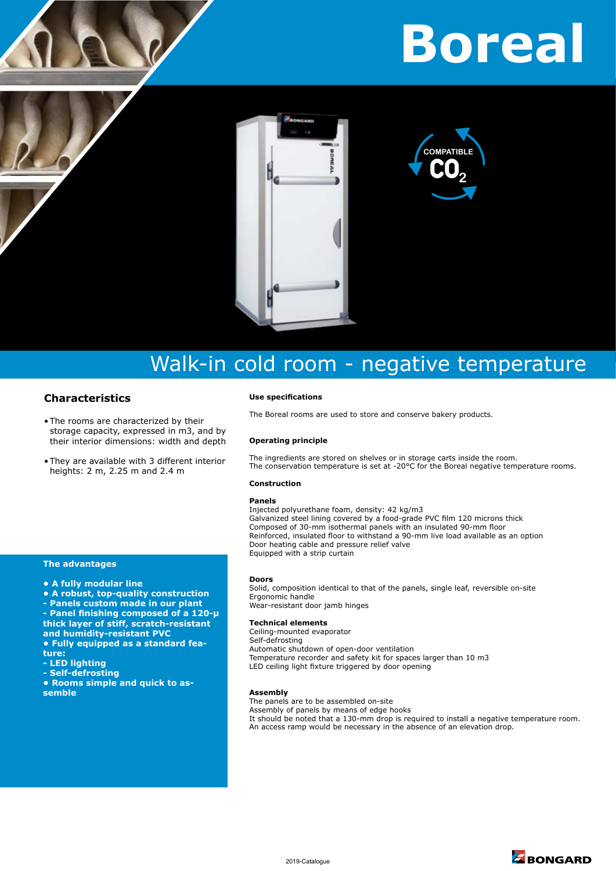# **Borea**



## Walk-in cold room - negative temperature

#### **Characteristics**

- The rooms are characterized by their storage capacity, expressed in m3, and by their interior dimensions: width and depth
- They are available with 3 different interior heights: 2 m, 2.25 m and 2.4 m

#### **Use specifications**

The Boreal rooms are used to store and conserve bakery products.

#### **Operating principle**

The ingredients are stored on shelves or in storage carts inside the room. The conservation temperature is set at -20°C for the Boreal negative temperature rooms.

#### **Construction**

#### **Panels**

Injected polyurethane foam, density: 42 kg/m3 Galvanized steel lining covered by a food-grade PVC film 120 microns thick Composed of 30-mm isothermal panels with an insulated 90-mm floor Reinforced, insulated floor to withstand a 90-mm live load available as an option Door heating cable and pressure relief valve Equipped with a strip curtain

#### **The advantages**

- **A fully modular line**
- **A robust, top-quality construction**
- **Panels custom made in our plant**
- **Panel finishing composed of a 120-µ thick layer of stiff, scratch-resistant and humidity-resistant PVC**
- **Fully equipped as a standard feature:**
- **LED lighting**
- **Self-defrosting**
- **Rooms simple and quick to assemble**

#### **Doors**

Solid, composition identical to that of the panels, single leaf, reversible on-site Ergonomic handle Wear-resistant door jamb hinges

#### **Technical elements**

Ceiling-mounted evaporator Self-defrosting Automatic shutdown of open-door ventilation Temperature recorder and safety kit for spaces larger than 10 m3 LED ceiling light fixture triggered by door opening

#### **Assembly**

The panels are to be assembled on-site Assembly of panels by means of edge hooks It should be noted that a 130-mm drop is required to install a negative temperature room. An access ramp would be necessary in the absence of an elevation drop.

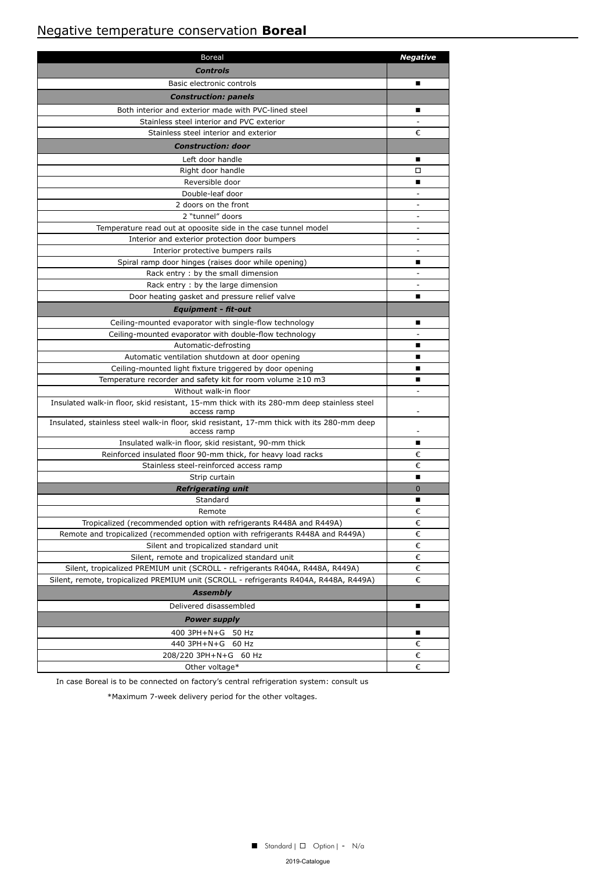## Negative temperature conservation **Boreal**

| <b>Boreal</b>                                                                                                                  | <b>Negative</b>          |
|--------------------------------------------------------------------------------------------------------------------------------|--------------------------|
| Controls                                                                                                                       |                          |
| Basic electronic controls                                                                                                      | ■                        |
| <b>Construction: panels</b>                                                                                                    |                          |
| Both interior and exterior made with PVC-lined steel                                                                           | ■                        |
| Stainless steel interior and PVC exterior                                                                                      |                          |
| Stainless steel interior and exterior                                                                                          | €                        |
| <b>Construction: door</b>                                                                                                      |                          |
| Left door handle                                                                                                               |                          |
| Right door handle                                                                                                              | □                        |
| Reversible door                                                                                                                | ■                        |
| Double-leaf door                                                                                                               | $\overline{\phantom{a}}$ |
| 2 doors on the front                                                                                                           |                          |
| 2 "tunnel" doors                                                                                                               | $\overline{\phantom{a}}$ |
| Temperature read out at opoosite side in the case tunnel model                                                                 | $\sim$                   |
| Interior and exterior protection door bumpers                                                                                  | $\overline{\phantom{a}}$ |
| Interior protective bumpers rails                                                                                              | $\overline{\phantom{a}}$ |
| Spiral ramp door hinges (raises door while opening)                                                                            | ■                        |
| Rack entry : by the small dimension                                                                                            |                          |
| Rack entry: by the large dimension                                                                                             | $\sim$                   |
| Door heating gasket and pressure relief valve                                                                                  | ■                        |
| <b>Equipment - fit-out</b>                                                                                                     |                          |
| Ceiling-mounted evaporator with single-flow technology                                                                         | ■                        |
| Ceiling-mounted evaporator with double-flow technology                                                                         |                          |
| Automatic-defrosting                                                                                                           | ■                        |
| Automatic ventilation shutdown at door opening                                                                                 |                          |
| Ceiling-mounted light fixture triggered by door opening                                                                        | ٠                        |
| Temperature recorder and safety kit for room volume $\geq 10$ m3                                                               | ■                        |
| Without walk-in floor                                                                                                          | ÷.                       |
| Insulated walk-in floor, skid resistant, 15-mm thick with its 280-mm deep stainless steel<br>access ramp                       | $\overline{\phantom{a}}$ |
| Insulated, stainless steel walk-in floor, skid resistant, 17-mm thick with its 280-mm deep<br>access ramp                      |                          |
| Insulated walk-in floor, skid resistant, 90-mm thick                                                                           | ■                        |
| Reinforced insulated floor 90-mm thick, for heavy load racks                                                                   | €                        |
| Stainless steel-reinforced access ramp                                                                                         | €                        |
| Strip curtain                                                                                                                  | ■                        |
| <b>Refrigerating unit</b>                                                                                                      | $\Omega$                 |
| Standard                                                                                                                       | ■                        |
| Remote                                                                                                                         | €                        |
| Tropicalized (recommended option with refrigerants R448A and R449A)                                                            | €                        |
| Remote and tropicalized (recommended option with refrigerants R448A and R449A)                                                 | €<br>€                   |
| Silent and tropicalized standard unit                                                                                          | €                        |
| Silent, remote and tropicalized standard unit<br>Silent, tropicalized PREMIUM unit (SCROLL - refrigerants R404A, R448A, R449A) | €                        |
| Silent, remote, tropicalized PREMIUM unit (SCROLL - refrigerants R404A, R448A, R449A)                                          | €                        |
| <b>Assembly</b>                                                                                                                |                          |
| Delivered disassembled                                                                                                         | п                        |
| <b>Power supply</b>                                                                                                            |                          |
| 400 3PH+N+G 50 Hz                                                                                                              | п                        |
| 440 3PH+N+G<br>60 Hz                                                                                                           | €                        |
| 208/220 3PH+N+G<br>60 Hz                                                                                                       | €                        |
| Other voltage*                                                                                                                 | €                        |
|                                                                                                                                |                          |

In case Boreal is to be connected on factory's central refrigeration system: consult us

\*Maximum 7-week delivery period for the other voltages.